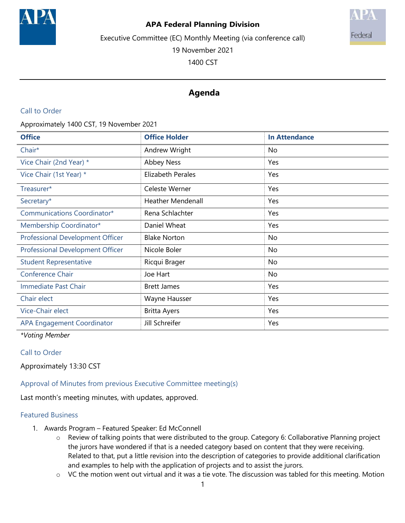



Federal

19 November 2021

1400 CST

# **Agenda**

#### Call to Order

Approximately 1400 CST, 19 November 2021

| <b>Office</b>                           | <b>Office Holder</b>     | <b>In Attendance</b> |
|-----------------------------------------|--------------------------|----------------------|
| Chair*                                  | Andrew Wright            | No                   |
| Vice Chair (2nd Year) *                 | <b>Abbey Ness</b>        | Yes                  |
| Vice Chair (1st Year) *                 | <b>Elizabeth Perales</b> | Yes                  |
| Treasurer*                              | Celeste Werner           | Yes                  |
| Secretary*                              | <b>Heather Mendenall</b> | Yes                  |
| Communications Coordinator*             | Rena Schlachter          | Yes                  |
| Membership Coordinator*                 | Daniel Wheat             | Yes                  |
| Professional Development Officer        | <b>Blake Norton</b>      | No                   |
| <b>Professional Development Officer</b> | Nicole Boler             | No                   |
| <b>Student Representative</b>           | Ricqui Brager            | No                   |
| Conference Chair                        | Joe Hart                 | No                   |
| <b>Immediate Past Chair</b>             | <b>Brett James</b>       | Yes                  |
| Chair elect                             | Wayne Hausser            | Yes                  |
| Vice-Chair elect                        | <b>Britta Ayers</b>      | Yes                  |
| <b>APA Engagement Coordinator</b>       | Jill Schreifer           | Yes                  |

*\*Voting Member*

#### Call to Order

Approximately 13:30 CST

Approval of Minutes from previous Executive Committee meeting(s)

Last month's meeting minutes, with updates, approved.

#### Featured Business

- 1. Awards Program Featured Speaker: Ed McConnell
	- o Review of talking points that were distributed to the group. Category 6: Collaborative Planning project the jurors have wondered if that is a needed category based on content that they were receiving. Related to that, put a little revision into the description of categories to provide additional clarification and examples to help with the application of projects and to assist the jurors.
	- o VC the motion went out virtual and it was a tie vote. The discussion was tabled for this meeting. Motion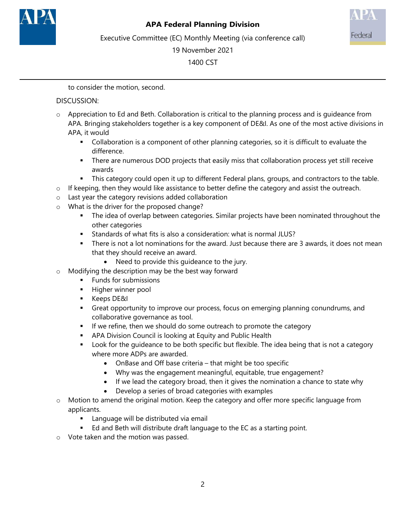



Federal

19 November 2021

1400 CST

to consider the motion, second.

#### DISCUSSION:

- $\circ$  Appreciation to Ed and Beth. Collaboration is critical to the planning process and is quideance from APA. Bringing stakeholders together is a key component of DE&I. As one of the most active divisions in APA, it would
	- Collaboration is a component of other planning categories, so it is difficult to evaluate the difference.
	- **There are numerous DOD projects that easily miss that collaboration process yet still receive** awards
	- This category could open it up to different Federal plans, groups, and contractors to the table.
- $\circ$  If keeping, then they would like assistance to better define the category and assist the outreach.
- o Last year the category revisions added collaboration
- o What is the driver for the proposed change?
	- The idea of overlap between categories. Similar projects have been nominated throughout the other categories
	- Standards of what fits is also a consideration: what is normal JLUS?
	- There is not a lot nominations for the award. Just because there are 3 awards, it does not mean that they should receive an award.
		- Need to provide this guideance to the jury.
- o Modifying the description may be the best way forward
	- **Funds for submissions**
	- **Higher winner pool**
	- Keeps DE&I
	- **F** Great opportunity to improve our process, focus on emerging planning conundrums, and collaborative governance as tool.
	- If we refine, then we should do some outreach to promote the category
	- APA Division Council is looking at Equity and Public Health
	- Look for the guideance to be both specific but flexible. The idea being that is not a category where more ADPs are awarded.
		- OnBase and Off base criteria that might be too specific
		- Why was the engagement meaningful, equitable, true engagement?
		- If we lead the category broad, then it gives the nomination a chance to state why
		- Develop a series of broad categories with examples
- o Motion to amend the original motion. Keep the category and offer more specific language from applicants.
	- **EXTE** Language will be distributed via email
	- Ed and Beth will distribute draft language to the EC as a starting point.
- o Vote taken and the motion was passed.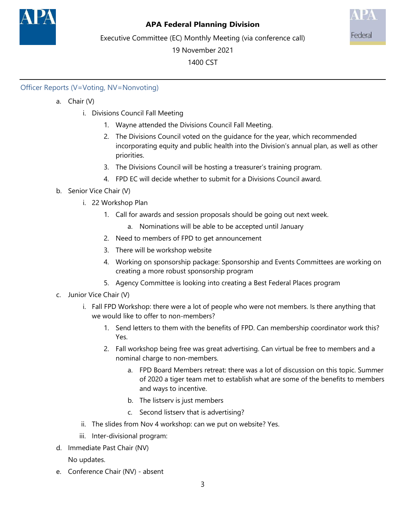



Executive Committee (EC) Monthly Meeting (via conference call)

19 November 2021

1400 CST

#### Officer Reports (V=Voting, NV=Nonvoting)

- a. Chair (V)
	- i. Divisions Council Fall Meeting
		- 1. Wayne attended the Divisions Council Fall Meeting.
		- 2. The Divisions Council voted on the guidance for the year, which recommended incorporating equity and public health into the Division's annual plan, as well as other priorities.
		- 3. The Divisions Council will be hosting a treasurer's training program.
		- 4. FPD EC will decide whether to submit for a Divisions Council award.
- b. Senior Vice Chair (V)
	- i. 22 Workshop Plan
		- 1. Call for awards and session proposals should be going out next week.
			- a. Nominations will be able to be accepted until January
		- 2. Need to members of FPD to get announcement
		- 3. There will be workshop website
		- 4. Working on sponsorship package: Sponsorship and Events Committees are working on creating a more robust sponsorship program
		- 5. Agency Committee is looking into creating a Best Federal Places program
- c. Junior Vice Chair (V)
	- i. Fall FPD Workshop: there were a lot of people who were not members. Is there anything that we would like to offer to non-members?
		- 1. Send letters to them with the benefits of FPD. Can membership coordinator work this? Yes.
		- 2. Fall workshop being free was great advertising. Can virtual be free to members and a nominal charge to non-members.
			- a. FPD Board Members retreat: there was a lot of discussion on this topic. Summer of 2020 a tiger team met to establish what are some of the benefits to members and ways to incentive.
			- b. The listserv is just members
			- c. Second listserv that is advertising?
	- ii. The slides from Nov 4 workshop: can we put on website? Yes.
	- iii. Inter-divisional program:
- d. Immediate Past Chair (NV)

No updates.

e. Conference Chair (NV) - absent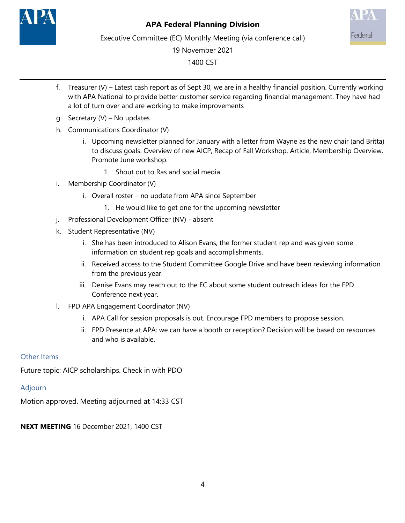



Executive Committee (EC) Monthly Meeting (via conference call)

19 November 2021

1400 CST

- f. Treasurer (V) Latest cash report as of Sept 30, we are in a healthy financial position. Currently working with APA National to provide better customer service regarding financial management. They have had a lot of turn over and are working to make improvements
- g. Secretary (V) No updates
- h. Communications Coordinator (V)
	- i. Upcoming newsletter planned for January with a letter from Wayne as the new chair (and Britta) to discuss goals. Overview of new AICP, Recap of Fall Workshop, Article, Membership Overview, Promote June workshop.
		- 1. Shout out to Ras and social media
- i. Membership Coordinator (V)
	- i. Overall roster no update from APA since September
		- 1. He would like to get one for the upcoming newsletter
- j. Professional Development Officer (NV) absent
- k. Student Representative (NV)
	- i. She has been introduced to Alison Evans, the former student rep and was given some information on student rep goals and accomplishments.
	- ii. Received access to the Student Committee Google Drive and have been reviewing information from the previous year.
	- iii. Denise Evans may reach out to the EC about some student outreach ideas for the FPD Conference next year.
- l. FPD APA Engagement Coordinator (NV)
	- i. APA Call for session proposals is out. Encourage FPD members to propose session.
	- ii. FPD Presence at APA: we can have a booth or reception? Decision will be based on resources and who is available.

## Other Items

Future topic: AICP scholarships. Check in with PDO

## Adjourn

Motion approved. Meeting adjourned at 14:33 CST

**NEXT MEETING** 16 December 2021, 1400 CST